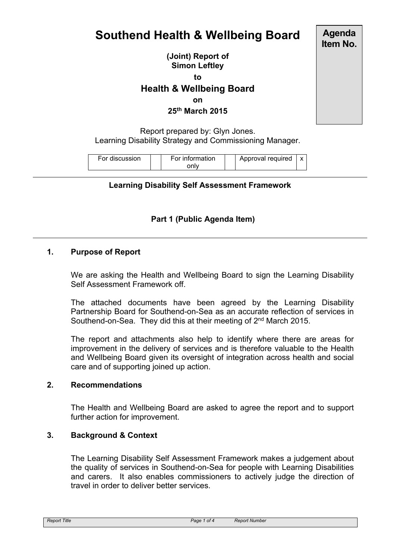# **Southend Health & Wellbeing Board**

**(Joint) Report of Simon Leftley**

**to**

## **Health & Wellbeing Board**

**on**

### **25th March 2015**

Report prepared by: Glyn Jones. Learning Disability Strategy and Commissioning Manager.

| For discussion | For information | Approval required |  |
|----------------|-----------------|-------------------|--|
|                | onlv            |                   |  |

#### **Learning Disability Self Assessment Framework**

## **Part 1 (Public Agenda Item)**

## **1. Purpose of Report**

We are asking the Health and Wellbeing Board to sign the Learning Disability Self Assessment Framework off.

The attached documents have been agreed by the Learning Disability Partnership Board for Southend-on-Sea as an accurate reflection of services in Southend-on-Sea. They did this at their meeting of 2<sup>nd</sup> March 2015.

The report and attachments also help to identify where there are areas for improvement in the delivery of services and is therefore valuable to the Health and Wellbeing Board given its oversight of integration across health and social care and of supporting joined up action.

#### **2. Recommendations**

The Health and Wellbeing Board are asked to agree the report and to support further action for improvement.

#### **3. Background & Context**

The Learning Disability Self Assessment Framework makes a judgement about the quality of services in Southend-on-Sea for people with Learning Disabilities and carers. It also enables commissioners to actively judge the direction of travel in order to deliver better services.

**Agenda Item No.**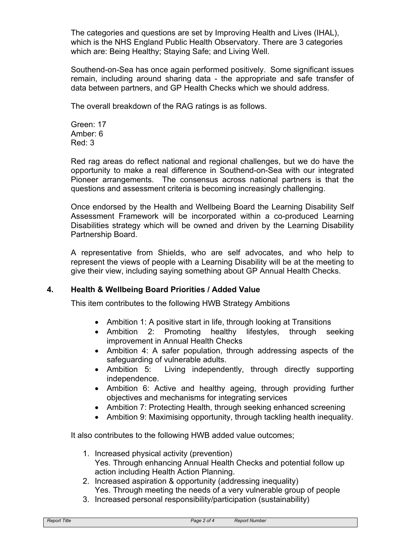The categories and questions are set by Improving Health and Lives (IHAL), which is the NHS England Public Health Observatory. There are 3 categories which are: Being Healthy; Staying Safe; and Living Well.

Southend-on-Sea has once again performed positively. Some significant issues remain, including around sharing data - the appropriate and safe transfer of data between partners, and GP Health Checks which we should address.

The overall breakdown of the RAG ratings is as follows.

Green: 17 Amber: 6 Red: 3

Red rag areas do reflect national and regional challenges, but we do have the opportunity to make a real difference in Southend-on-Sea with our integrated Pioneer arrangements. The consensus across national partners is that the questions and assessment criteria is becoming increasingly challenging.

Once endorsed by the Health and Wellbeing Board the Learning Disability Self Assessment Framework will be incorporated within a co-produced Learning Disabilities strategy which will be owned and driven by the Learning Disability Partnership Board.

A representative from Shields, who are self advocates, and who help to represent the views of people with a Learning Disability will be at the meeting to give their view, including saying something about GP Annual Health Checks.

## **4. Health & Wellbeing Board Priorities / Added Value**

This item contributes to the following HWB Strategy Ambitions

- Ambition 1: A positive start in life, through looking at Transitions
- Ambition 2: Promoting healthy lifestyles, through seeking improvement in Annual Health Checks
- Ambition 4: A safer population, through addressing aspects of the safeguarding of vulnerable adults.
- Ambition 5: Living independently, through directly supporting independence.
- Ambition 6: Active and healthy ageing, through providing further objectives and mechanisms for integrating services
- Ambition 7: Protecting Health, through seeking enhanced screening
- Ambition 9: Maximising opportunity, through tackling health inequality.

It also contributes to the following HWB added value outcomes;

- 1. Increased physical activity (prevention) Yes. Through enhancing Annual Health Checks and potential follow up action including Health Action Planning.
- 2. Increased aspiration & opportunity (addressing inequality) Yes. Through meeting the needs of a very vulnerable group of people
- 3. Increased personal responsibility/participation (sustainability)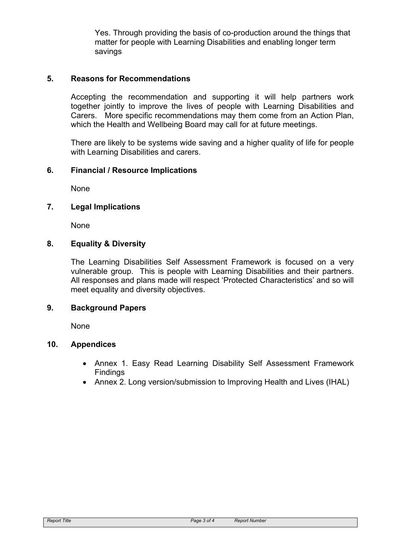Yes. Through providing the basis of co-production around the things that matter for people with Learning Disabilities and enabling longer term savings

## **5. Reasons for Recommendations**

Accepting the recommendation and supporting it will help partners work together jointly to improve the lives of people with Learning Disabilities and Carers. More specific recommendations may them come from an Action Plan, which the Health and Wellbeing Board may call for at future meetings.

There are likely to be systems wide saving and a higher quality of life for people with Learning Disabilities and carers.

## **6. Financial / Resource Implications**

None

## **7. Legal Implications**

None

## **8. Equality & Diversity**

The Learning Disabilities Self Assessment Framework is focused on a very vulnerable group. This is people with Learning Disabilities and their partners. All responses and plans made will respect 'Protected Characteristics' and so will meet equality and diversity objectives.

## **9. Background Papers**

None

## **10. Appendices**

- Annex 1. Easy Read Learning Disability Self Assessment Framework Findings
- Annex 2. Long version/submission to Improving Health and Lives (IHAL)